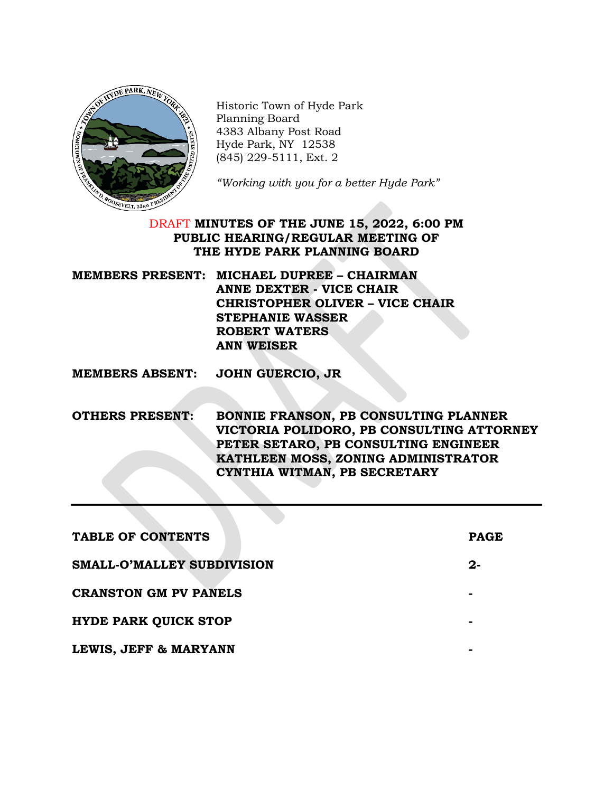

Historic Town of Hyde Park Planning Board 4383 Albany Post Road Hyde Park, NY 12538 (845) 229-5111, Ext. 2

*"Working with you for a better Hyde Park"*

# DRAFT **MINUTES OF THE JUNE 15, 2022, 6:00 PM PUBLIC HEARING/REGULAR MEETING OF THE HYDE PARK PLANNING BOARD**

| MEMBERS PRESENT: MICHAEL DUPREE – CHAIRMAN |
|--------------------------------------------|
| ANNE DEXTER - VICE CHAIR                   |
| <b>CHRISTOPHER OLIVER - VICE CHAIR</b>     |
| <b>STEPHANIE WASSER</b>                    |
| ROBERT WATERS                              |
| <b>ANN WEISER</b>                          |

**MEMBERS ABSENT: JOHN GUERCIO, JR**

**OTHERS PRESENT: BONNIE FRANSON, PB CONSULTING PLANNER VICTORIA POLIDORO, PB CONSULTING ATTORNEY PETER SETARO, PB CONSULTING ENGINEER KATHLEEN MOSS, ZONING ADMINISTRATOR CYNTHIA WITMAN, PB SECRETARY**

| TABLE OF CONTENTS            | <b>PAGE</b> |
|------------------------------|-------------|
| SMALL-O'MALLEY SUBDIVISION   | 2-          |
| <b>CRANSTON GM PV PANELS</b> |             |
| <b>HYDE PARK QUICK STOP</b>  |             |
| LEWIS, JEFF & MARYANN        |             |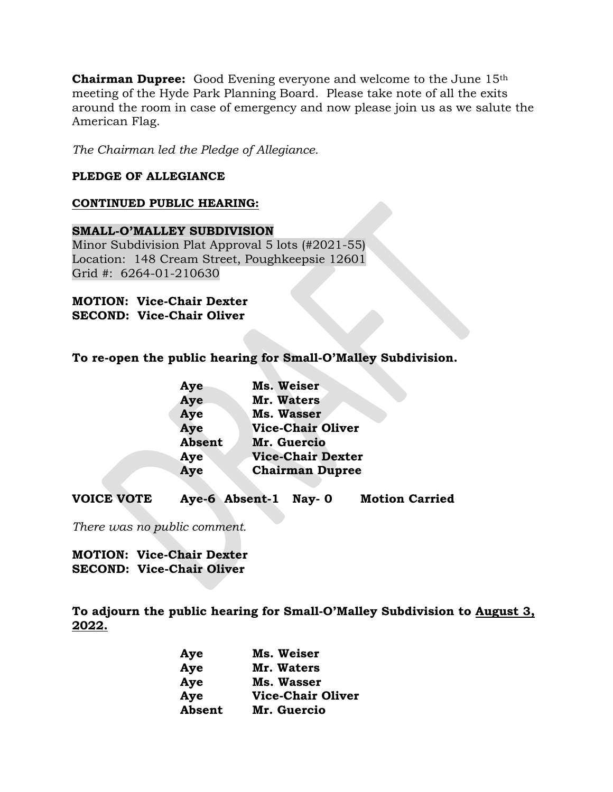**Chairman Dupree:** Good Evening everyone and welcome to the June 15th meeting of the Hyde Park Planning Board. Please take note of all the exits around the room in case of emergency and now please join us as we salute the American Flag.

*The Chairman led the Pledge of Allegiance.*

## **PLEDGE OF ALLEGIANCE**

### **CONTINUED PUBLIC HEARING:**

## **SMALL-O'MALLEY SUBDIVISION** Minor Subdivision Plat Approval 5 lots (#2021-55) Location: 148 Cream Street, Poughkeepsie 12601 Grid #: 6264-01-210630

## **MOTION: Vice-Chair Dexter SECOND: Vice-Chair Oliver**

# **To re-open the public hearing for Small-O'Malley Subdivision.**

| Aye           | Ms. Weiser               |
|---------------|--------------------------|
| Aye           | Mr. Waters               |
| Aye           | Ms. Wasser               |
| Aye           | <b>Vice-Chair Oliver</b> |
| <b>Absent</b> | Mr. Guercio              |
| Aye           | <b>Vice-Chair Dexter</b> |
| Aye           | <b>Chairman Dupree</b>   |
|               |                          |

**VOICE VOTE Aye-6 Absent-1 Nay- 0 Motion Carried**

*There was no public comment.*

**MOTION: Vice-Chair Dexter SECOND: Vice-Chair Oliver**

**To adjourn the public hearing for Small-O'Malley Subdivision to August 3, 2022.**

| Aye    | Ms. Weiser               |
|--------|--------------------------|
| Aye    | Mr. Waters               |
| Aye    | Ms. Wasser               |
| Aye    | <b>Vice-Chair Oliver</b> |
| Absent | Mr. Guercio              |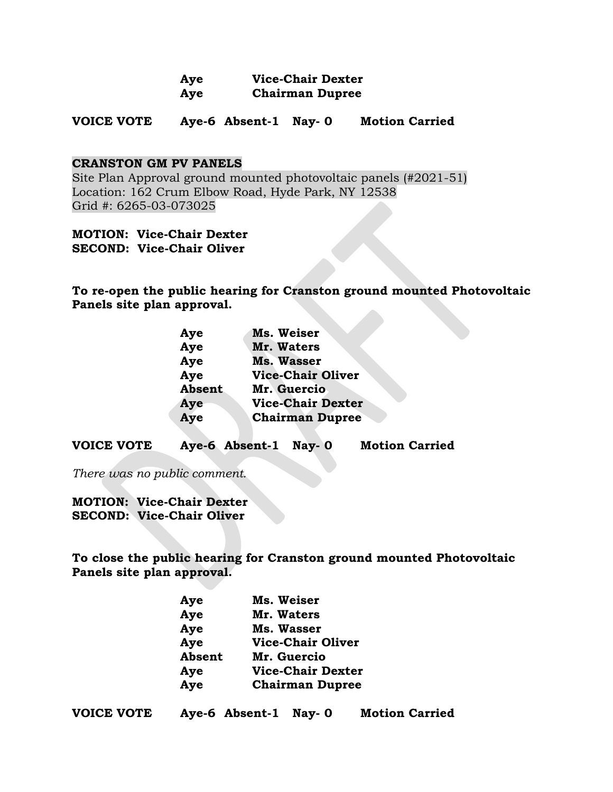| Aye | <b>Vice-Chair Dexter</b> |
|-----|--------------------------|
| Aye | <b>Chairman Dupree</b>   |

**VOICE VOTE Aye-6 Absent-1 Nay- 0 Motion Carried**

### **CRANSTON GM PV PANELS**

Site Plan Approval ground mounted photovoltaic panels (#2021-51) Location: 162 Crum Elbow Road, Hyde Park, NY 12538 Grid #: 6265-03-073025

**MOTION: Vice-Chair Dexter SECOND: Vice-Chair Oliver**

**To re-open the public hearing for Cranston ground mounted Photovoltaic Panels site plan approval.**

| Aye           | Ms. Weiser               |
|---------------|--------------------------|
| Aye           | Mr. Waters               |
| Aye           | <b>Ms. Wasser</b>        |
| Aye           | <b>Vice-Chair Oliver</b> |
| <b>Absent</b> | Mr. Guercio              |
| Aye           | <b>Vice-Chair Dexter</b> |
| Aye           | <b>Chairman Dupree</b>   |
|               |                          |

**VOICE VOTE Aye-6 Absent-1 Nay- 0 Motion Carried**

*There was no public comment.*

**MOTION: Vice-Chair Dexter SECOND: Vice-Chair Oliver**

**To close the public hearing for Cranston ground mounted Photovoltaic Panels site plan approval.**

| Aye    | Ms. Weiser               |
|--------|--------------------------|
| Aye    | Mr. Waters               |
| Aye    | Ms. Wasser               |
| Aye    | <b>Vice-Chair Oliver</b> |
| Absent | Mr. Guercio              |
| Aye    | <b>Vice-Chair Dexter</b> |
| Aye    | <b>Chairman Dupree</b>   |
|        |                          |

|  | <b>VOICE VOTE</b> | Aye-6 Absent-1 Nay-0 |  | <b>Motion Carried</b> |
|--|-------------------|----------------------|--|-----------------------|
|--|-------------------|----------------------|--|-----------------------|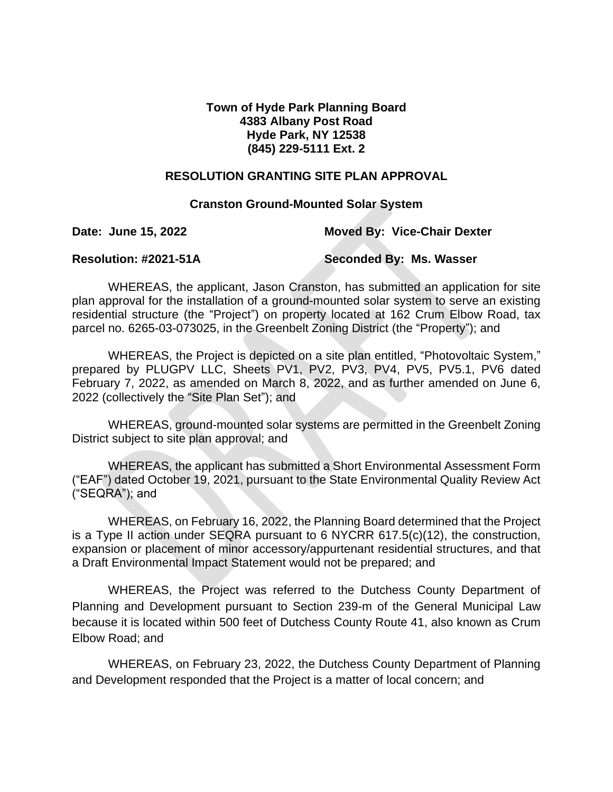## **Town of Hyde Park Planning Board 4383 Albany Post Road Hyde Park, NY 12538 (845) 229-5111 Ext. 2**

## **RESOLUTION GRANTING SITE PLAN APPROVAL**

### **Cranston Ground-Mounted Solar System**

**Date: June 15, 2022 Moved By: Vice-Chair Dexter**

**Resolution: #2021-51A Seconded By: Ms. Wasser**

WHEREAS, the applicant, Jason Cranston, has submitted an application for site plan approval for the installation of a ground-mounted solar system to serve an existing residential structure (the "Project") on property located at 162 Crum Elbow Road, tax parcel no. 6265-03-073025, in the Greenbelt Zoning District (the "Property"); and

WHEREAS, the Project is depicted on a site plan entitled, "Photovoltaic System," prepared by PLUGPV LLC, Sheets PV1, PV2, PV3, PV4, PV5, PV5.1, PV6 dated February 7, 2022, as amended on March 8, 2022, and as further amended on June 6, 2022 (collectively the "Site Plan Set"); and

WHEREAS, ground-mounted solar systems are permitted in the Greenbelt Zoning District subject to site plan approval; and

WHEREAS, the applicant has submitted a Short Environmental Assessment Form ("EAF") dated October 19, 2021, pursuant to the State Environmental Quality Review Act ("SEQRA"); and

WHEREAS, on February 16, 2022, the Planning Board determined that the Project is a Type II action under SEQRA pursuant to 6 NYCRR 617.5(c)(12), the construction, expansion or placement of minor accessory/appurtenant residential structures, and that a Draft Environmental Impact Statement would not be prepared; and

WHEREAS, the Project was referred to the Dutchess County Department of Planning and Development pursuant to Section 239-m of the General Municipal Law because it is located within 500 feet of Dutchess County Route 41, also known as Crum Elbow Road; and

WHEREAS, on February 23, 2022, the Dutchess County Department of Planning and Development responded that the Project is a matter of local concern; and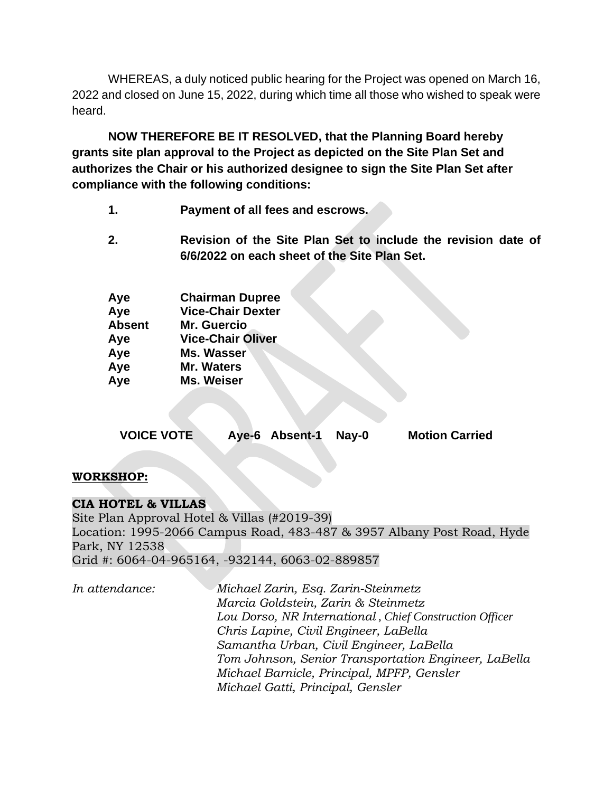WHEREAS, a duly noticed public hearing for the Project was opened on March 16, 2022 and closed on June 15, 2022, during which time all those who wished to speak were heard.

**NOW THEREFORE BE IT RESOLVED, that the Planning Board hereby grants site plan approval to the Project as depicted on the Site Plan Set and authorizes the Chair or his authorized designee to sign the Site Plan Set after compliance with the following conditions:**

- **1. Payment of all fees and escrows.**
- **2. Revision of the Site Plan Set to include the revision date of 6/6/2022 on each sheet of the Site Plan Set.**

| Aye           | <b>Chairman Dupree</b>   |
|---------------|--------------------------|
| Aye           | <b>Vice-Chair Dexter</b> |
| <b>Absent</b> | <b>Mr. Guercio</b>       |
| Aye           | <b>Vice-Chair Oliver</b> |
| Aye           | Ms. Wasser               |
| Aye           | Mr. Waters               |
| Aye           | Ms. Weiser               |
|               |                          |

| <b>VOICE VOTE</b> | Aye-6 Absent-1 Nay-0 | <b>Motion Carried</b> |
|-------------------|----------------------|-----------------------|
|                   |                      |                       |

# **WORKSHOP:**

# **CIA HOTEL & VILLAS**

Site Plan Approval Hotel & Villas (#2019-39) Location: 1995-2066 Campus Road, 483-487 & 3957 Albany Post Road, Hyde Park, NY 12538 Grid #: 6064-04-965164, -932144, 6063-02-889857

*In attendance: Michael Zarin, Esq. Zarin-Steinmetz Marcia Goldstein, Zarin & Steinmetz Lou Dorso, NR International* , *Chief Construction Officer Chris Lapine, Civil Engineer, LaBella Samantha Urban, Civil Engineer, LaBella Tom Johnson, Senior Transportation Engineer, LaBella Michael Barnicle, Principal, MPFP, Gensler Michael Gatti, Principal, Gensler*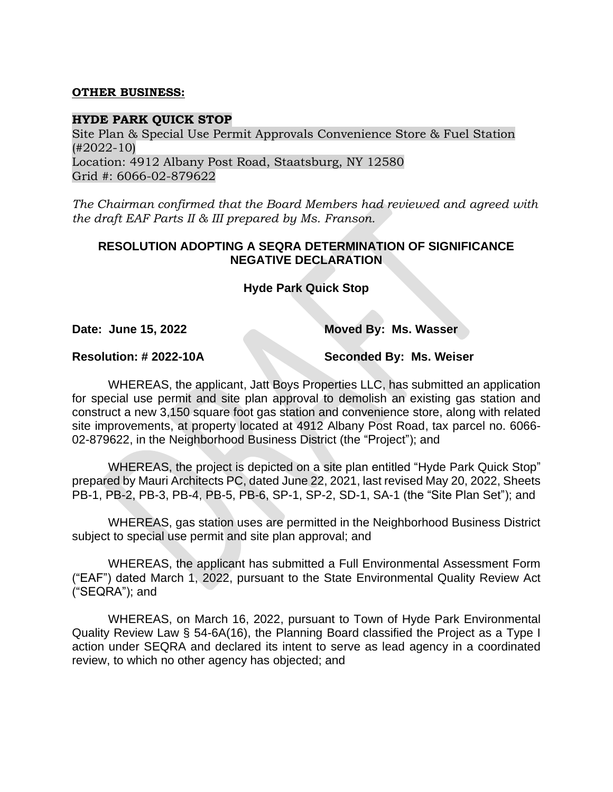### **OTHER BUSINESS:**

### **HYDE PARK QUICK STOP**

Site Plan & Special Use Permit Approvals Convenience Store & Fuel Station (#2022-10) Location: 4912 Albany Post Road, Staatsburg, NY 12580 Grid #: 6066-02-879622

*The Chairman confirmed that the Board Members had reviewed and agreed with the draft EAF Parts II & III prepared by Ms. Franson.*

# **RESOLUTION ADOPTING A SEQRA DETERMINATION OF SIGNIFICANCE NEGATIVE DECLARATION**

**Hyde Park Quick Stop**

**Date: June 15, 2022 Moved By: Ms. Wasser**

**Resolution: # 2022-10A Seconded By: Ms. Weiser**

WHEREAS, the applicant, Jatt Boys Properties LLC, has submitted an application for special use permit and site plan approval to demolish an existing gas station and construct a new 3,150 square foot gas station and convenience store, along with related site improvements, at property located at 4912 Albany Post Road, tax parcel no. 6066- 02-879622, in the Neighborhood Business District (the "Project"); and

WHEREAS, the project is depicted on a site plan entitled "Hyde Park Quick Stop" prepared by Mauri Architects PC, dated June 22, 2021, last revised May 20, 2022, Sheets PB-1, PB-2, PB-3, PB-4, PB-5, PB-6, SP-1, SP-2, SD-1, SA-1 (the "Site Plan Set"); and

WHEREAS, gas station uses are permitted in the Neighborhood Business District subject to special use permit and site plan approval; and

WHEREAS, the applicant has submitted a Full Environmental Assessment Form ("EAF") dated March 1, 2022, pursuant to the State Environmental Quality Review Act ("SEQRA"); and

WHEREAS, on March 16, 2022, pursuant to Town of Hyde Park Environmental Quality Review Law § 54-6A(16), the Planning Board classified the Project as a Type I action under SEQRA and declared its intent to serve as lead agency in a coordinated review, to which no other agency has objected; and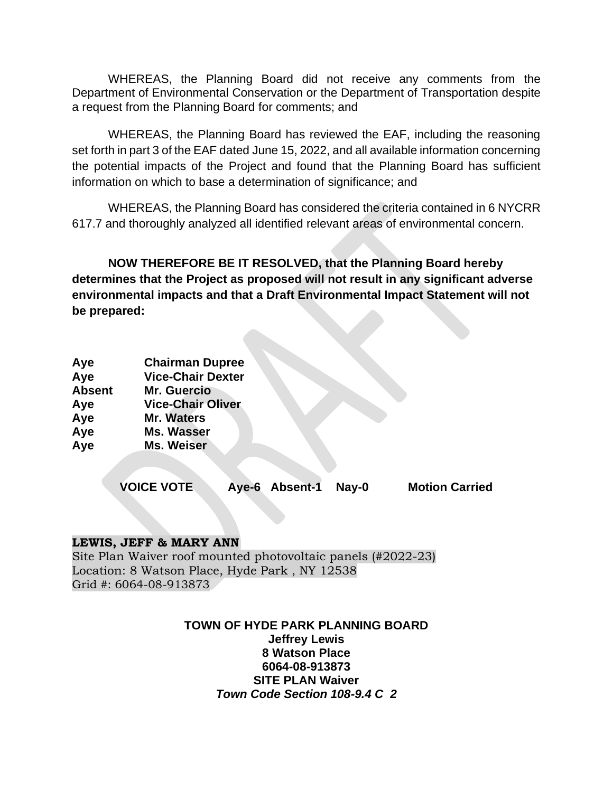WHEREAS, the Planning Board did not receive any comments from the Department of Environmental Conservation or the Department of Transportation despite a request from the Planning Board for comments; and

WHEREAS, the Planning Board has reviewed the EAF, including the reasoning set forth in part 3 of the EAF dated June 15, 2022, and all available information concerning the potential impacts of the Project and found that the Planning Board has sufficient information on which to base a determination of significance; and

WHEREAS, the Planning Board has considered the criteria contained in 6 NYCRR 617.7 and thoroughly analyzed all identified relevant areas of environmental concern.

**NOW THEREFORE BE IT RESOLVED, that the Planning Board hereby determines that the Project as proposed will not result in any significant adverse environmental impacts and that a Draft Environmental Impact Statement will not be prepared:**

| Aye           | <b>Chairman Dupree</b>   |
|---------------|--------------------------|
| Aye           | <b>Vice-Chair Dexter</b> |
| <b>Absent</b> | Mr. Guercio              |
| Aye           | <b>Vice-Chair Oliver</b> |
| Aye           | <b>Mr. Waters</b>        |
| Aye           | Ms. Wasser               |
| Aye           | <b>Ms. Weiser</b>        |
|               |                          |

**VOICE VOTE Aye-6 Absent-1 Nay-0 Motion Carried**

### **LEWIS, JEFF & MARY ANN**

Site Plan Waiver roof mounted photovoltaic panels (#2022-23) Location: 8 Watson Place, Hyde Park , NY 12538 Grid #: 6064-08-913873

> **TOWN OF HYDE PARK PLANNING BOARD Jeffrey Lewis 8 Watson Place 6064-08-913873 SITE PLAN Waiver**  *Town Code Section 108-9.4 C 2*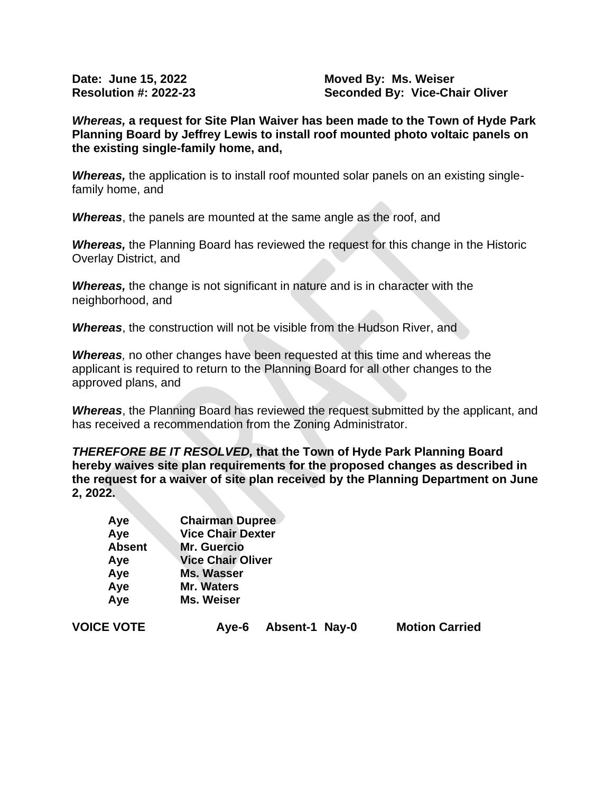**Date: June 15, 2022 Moved By: Ms. Weiser Resolution #: 2022-23 Seconded By: Vice-Chair Oliver**

*Whereas,* **a request for Site Plan Waiver has been made to the Town of Hyde Park Planning Board by Jeffrey Lewis to install roof mounted photo voltaic panels on the existing single-family home, and,** 

*Whereas,* the application is to install roof mounted solar panels on an existing singlefamily home, and

*Whereas*, the panels are mounted at the same angle as the roof, and

*Whereas,* the Planning Board has reviewed the request for this change in the Historic Overlay District, and

*Whereas,* the change is not significant in nature and is in character with the neighborhood, and

*Whereas*, the construction will not be visible from the Hudson River, and

*Whereas,* no other changes have been requested at this time and whereas the applicant is required to return to the Planning Board for all other changes to the approved plans, and

*Whereas*, the Planning Board has reviewed the request submitted by the applicant, and has received a recommendation from the Zoning Administrator.

*THEREFORE BE IT RESOLVED,* **that the Town of Hyde Park Planning Board hereby waives site plan requirements for the proposed changes as described in the request for a waiver of site plan received by the Planning Department on June 2, 2022.**

| Aye           | <b>Chairman Dupree</b>   |
|---------------|--------------------------|
| Aye           | <b>Vice Chair Dexter</b> |
| <b>Absent</b> | <b>Mr. Guercio</b>       |
| Aye           | <b>Vice Chair Oliver</b> |
| Aye           | <b>Ms. Wasser</b>        |
| Aye           | <b>Mr. Waters</b>        |
| Aye           | Ms. Weiser               |

**VOICE VOTE Aye-6 Absent-1 Nay-0 Motion Carried**